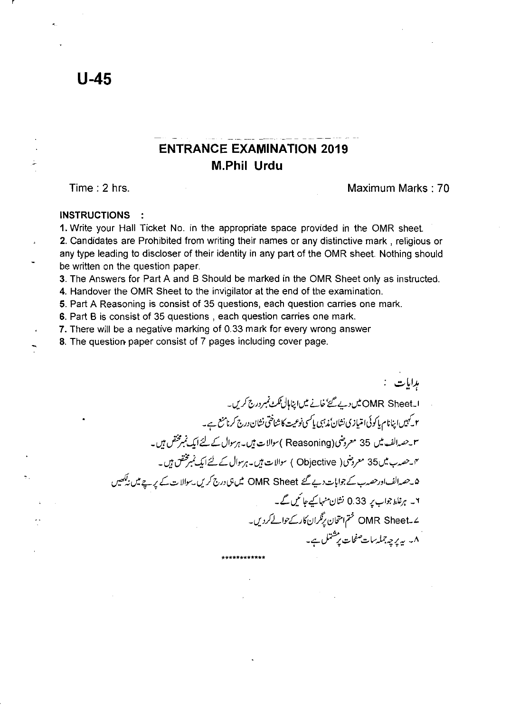## **ENTRANCE EXAMINATION 2019 M.Phil Urdu**

Time: 2 hrs. Maximum Marks: 70

## **INSTRUCTIONS**

**1.** Write your Hall Ticket No. in the appropriate space provided in the OMR sheet. 2. Candidates are Prohibited from writing their names or any distinctive mark, religious or any type leading to discloser of their identity in any part of the OMR sheet. Nothing should be written on the question paper.

3. The Answers for Part A and B Should be marked in the OMR Sheet only as instructed.

4. Handover the OMR Sheet to the invigilator at the end of the examination.

5. Part A Reasoning is consist of 35 questions, each question carries one mark.

S. Part B is consist of 35 questions, each question carries one mark.

7. There will be a negative marking of 0.33 mark for every wrong answer

8. The question paper consist of 7 pages including cover page.

برايات : اسا<sup>4</sup>MR Sheet بين ديے گئے خانے ميں اپناہال *نگٹ نمبر درج کری*ں۔ م کیمیں اینانام یا کوئی امتیازی نشان ٔمذہبی یا *کسی نوعیت کا* شناختی نشان درج کرنامنع ہے۔ س<sup>م</sup>حصہ الف میں 35 معروضی (Reasoning ) سوالات ہیں۔ ہرسوال کے لئے ایک نمبرمختص ہیں۔ <sup>م</sup>ا حصہ ب میں 35 معروضی( Objective ) سوالات ہیں۔ ہرسوال کے لئے ایک نمبرمختص ہیں۔ ه به حصدالف اورحصہ ب کے جوانات دیے گئے OMR Sheet میں ہی درج کریں ۔سوالات کے پر ہے میں ن*یکھی*ں ۲۔ ہرغلط جواب پر 0.33 نشان منہا کیے جا کیں گے۔ -I/.JLI.f'Lj((;}I~(;}i?Ir OMR Sheet\_'" \_ <:... ~..::- li"' ..::-*v* P."" /... \_II . 'Of '1 "l" **\*\*\*\*\*\*\*\*\*\*\*\***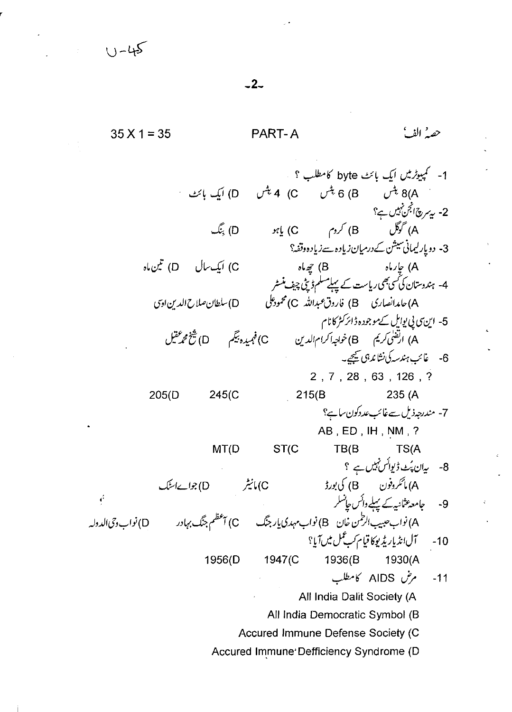حصه الفيأ PART-A  $35 X 1 = 35$ 1- کمپیوٹرمیں ایک بائٹ byte کامطلب ؟ یں ہے ۔<br>8(A پٹس = 6) 6 پٹس = 0) 4 پٹس = 0) ایک بائٹ 2- بەسرىچانجن ئېيىں ہے؟ .) گوگل <sup>.</sup> (B) کروم (C) یا *بود (D) چنگ* 3- دویار لیمانی سیشن کےدرمیان زیادہ سےزیادہ وقفہ؟ C) ایک سال D) تین ماہ A) جارماہ<br>4- ہندوستان کی سمی بھی ریاست کے پہلے مسلم ڈینی چیف منسٹر مان ن ن ن رويا س<del>ت پ په عمل اور په پيت مسر</del><br>A)حامدانصاری B) فاروق عبدالله C) محمودعلی D)سلطان صلاح الدین اوی 5- این سی پی یوایل سے موجودہ ڈائر کٹر کا نام .<br>A) ارتقلی کریم B) خواجه اکرام الدین C) فہمیدہ بیگم D) شخ محمد عقیل 6- غائب ہندسہ کی نشاند ہی گیجے۔ 2, 7, 28, 63, 126, ? 235 (A  $205(D)$ 245(C  $215(B)$ 7- مندرجہذیل سےغائب عددکون ساہے؟ AB, ED, IH, NM, ? ST(C  $MT(D)$  $TB/B$ TS(A 8- يەن پُٽ ڈىوائس نہيں ہے ؟ C) مانیٹر (D) جوابےاسنگ جامعہ عثانیہ کے پہلے دائس جانسلر ć  $-9$ .<br>A) نواب حبیب الرطمن خان B) نواب مہدی یار جنگ C) آعظم جنگ بہادر D) نواب دِحی الدولہ آل انڈیار پڑیوکا قیام کے عمل میں آیا؟  $-10$ 1947(C 1956(D 1936(B 1930(A مرض AIDS كامطلب  $-11$ All India Dalit Society (A All India Democratic Symbol (B Accured Immune Defense Society (C Accured Immune Defficiency Syndrome (D

 $-2-$ 

 $(1 - 45)$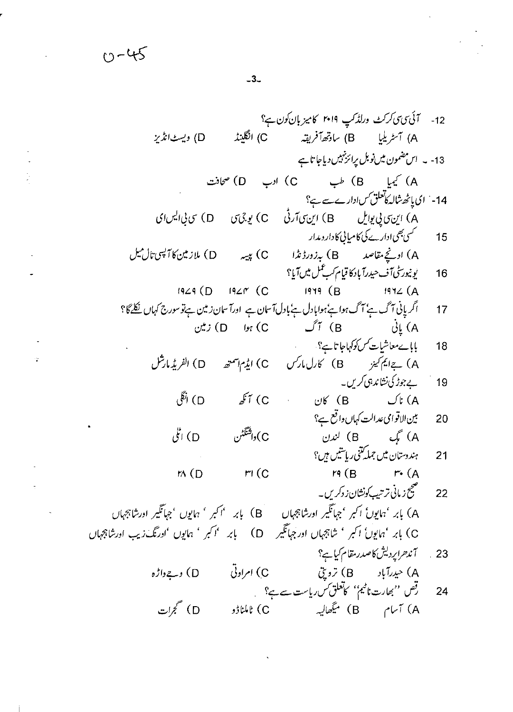12  
\n- 73 
$$
73
$$
  $75$   $76$   $8$   $77$   $6$   $8$   $77$   $6$   $9$   $77$   $9$   $17$   $17$   $17$   $17$   $17$   $18$   $19$   $17$   $19$   $15$   $10$   $19$   $10$   $10$   $10$   $10$   $10$   $10$   $10$   $10$   $10$   $10$   $10$   $10$   $10$   $10$   $10$   $10$   $10$   $10$   $10$   $10$   $10$   $10$   $10$   $10$   $10$   $10$   $10$   $10$   $10$   $10$   $10$   $10$   $10$   $10$   $10$   $10$   $10$   $10$   $10$   $10$   $10$   $10$   $10$   $10$   $10$   $10$   $10$   $10$   $10$   $10$   $10$   $10$   $10$   $10$   $10$   $10$   $10$   $10$   $10$   $10$   $10$   $10$   $10$   $10$   $10$   $10$   $10$   $10$   $10$   $10$   $10$  

 $\ddot{\phantom{0}}$ 

 $-3-$ 

 $0 - 45$ 

 $\Delta \sim 10^4$ 

 $\ddot{\phantom{a}}$ 

ä,

 $\ddot{\phantom{a}}$ 

 $\frac{1}{2}$ 

 $\ddot{\phantom{0}}$ 

 $\frac{1}{2}$ 

 $\hat{\mathcal{A}}$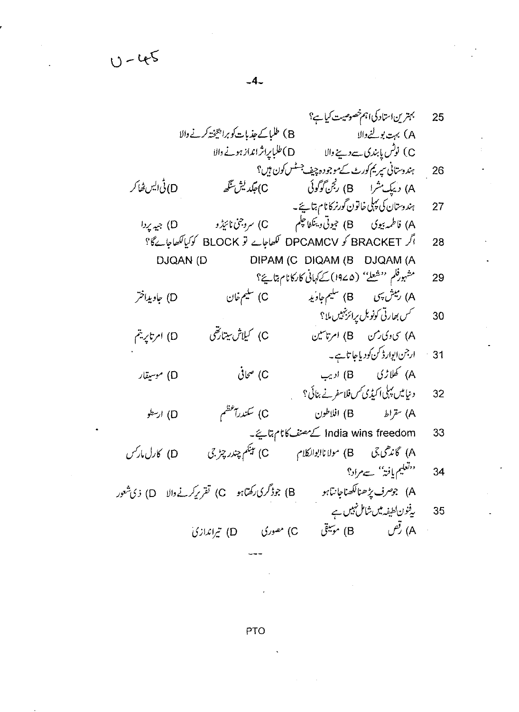PTO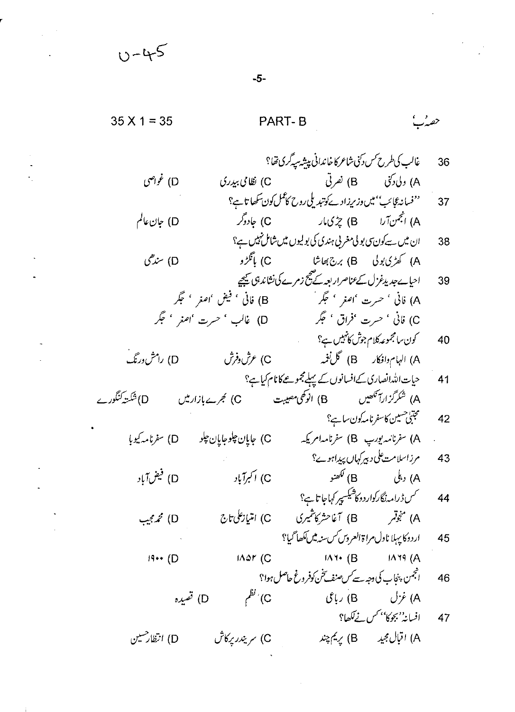35 X 1 = 35  
\n95 X 1 = 35  
\n
$$
\frac{1}{2} \int_{\sqrt{2}}^{2} f(y) \frac{1}{2} \int_{\sqrt{2}}^{2} f(y) \frac{1}{2} \int_{\sqrt{2}}^{2} f(y) \frac{1}{2} \int_{\sqrt{2}}^{2} f(y) \frac{1}{2} \int_{\sqrt{2}}^{2} f(y) \frac{1}{2} \int_{\sqrt{2}}^{2} f(y) \frac{1}{2} \int_{\sqrt{2}}^{2} f(y) \frac{1}{2} \int_{\sqrt{2}}^{2} f(y) \frac{1}{2} \int_{\sqrt{2}}^{2} f(y) \frac{1}{2} \int_{\sqrt{2}}^{2} f(y) \frac{1}{2} \int_{\sqrt{2}}^{2} f(y) \frac{1}{2} \int_{\sqrt{2}}^{2} f(y) \frac{1}{2} \int_{\sqrt{2}}^{2} f(y) \frac{1}{2} \int_{\sqrt{2}}^{2} f(y) \frac{1}{2} \int_{\sqrt{2}}^{2} f(y) \frac{1}{2} \int_{\sqrt{2}}^{2} f(y) \frac{1}{2} \int_{\sqrt{2}}^{2} f(y) \frac{1}{2} \int_{\sqrt{2}}^{2} f(y) \frac{1}{2} \int_{\sqrt{2}}^{2} f(y) \frac{1}{2} \int_{\sqrt{2}}^{2} f(y) \frac{1}{2} \int_{\sqrt{2}}^{2} f(y) \frac{1}{2} \int_{\sqrt{2}}^{2} f(y) \frac{1}{2} \int_{\sqrt{2}}^{2} f(y) \frac{1}{2} \int_{\sqrt{2}}^{2} f(y) \frac{1}{2} \int_{\sqrt{2}}^{2} f(y) \frac{1}{2} \int_{\sqrt{2}}^{2} f(y) \frac{1}{2} \int_{\sqrt{2}}^{2} f(y) \frac{1}{2} \int_{\sqrt{2}}^{2} f(y) \frac{1}{2} \int_{\sqrt{2}}^{2} f(y) \frac{1}{2} \int_{\sqrt{2}}^{2} f(y) \frac{1}{2} \int_{\sqrt{2}}^{2} f(y) \frac{1}{2} \int_{\sqrt{2}}^{2} f(y) \frac{1}{2} \int_{\sqrt{2}}^{2} f(y) \frac{1}{2} \int_{\sqrt{2}}^{2} f(y) \frac{1}{2} \int_{\sqrt{2}}^{2} f(y) \
$$

 $-5-$ 

 $\frac{1}{2} \frac{1}{2} \frac{1}{2} \frac{1}{2}$ 

 $\Delta \sim 10^4$ 

 $\mathcal{L}_{\text{max}}$  and  $\mathcal{L}_{\text{max}}$ 

 $\Delta \sim 10^{11}$  m  $^{-1}$ 

 $\mathcal{L}^{\text{max}}$ 

 $\ddot{\phantom{0}}$ 

 $0 - 45$ 

 $\sim 10^{11}$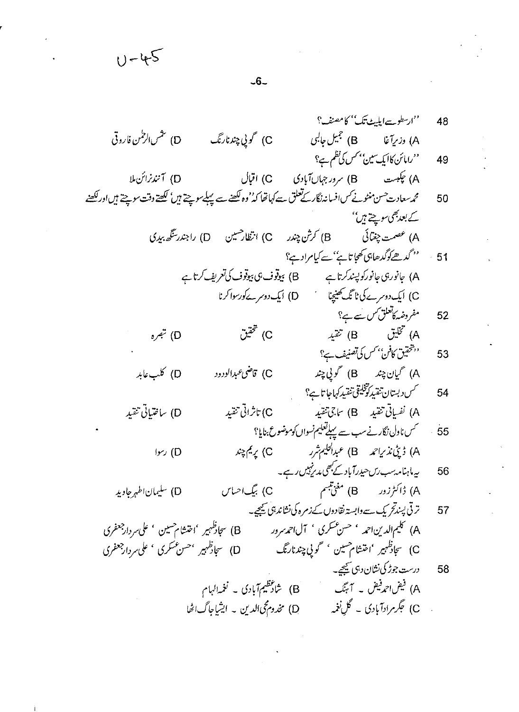$U - 45$  $-6-$ ''ارسطوسےایلیٹ تک'' کامصنف؟' ''رامائن کاایک سین'' *کس کی نظم ہے؟* (A) چکبست (B) سرورجهاںآبادی (C) اقبال (D) آنندنرائن ال محمەسعادت حسن منٹونے کس افسانہ نگار کے تعلق سے کہاتھا کہ''وہ لکھنے سے پہلےسوچتے ہیں'' لکھتے دقت سوچتے ہیں اور لکھنے کے بعد بھی سوچتے ہیں'' 51 ، مستحمد <u>ه</u>ے کوگدھاہی تھیا تاہ<sup>ے'</sup> سے کیام ادے؟

48

49

50

A) 
$$
{}^{2j}
$$
 (B)  ${}^{2j}$  (A  
\nC)  ${}^{2j}$  (D)  ${}^{2j}$  (A  
\n53)  ${}^{2j}$  (B)  ${}^{2j}$  (C)  ${}^{2j}$  (D)  ${}^{2j}$  (E)  ${}^{2j}$  (A)  ${}^{2j}$  (A)  ${}^{2j}$  (B)  ${}^{2j}$  (C)

54   
54 - >\n
$$
\sqrt{C}
$$

$$
\begin{array}{lll}\n\mathbf{B} & \mathbf{B} & \mathbf{B} & \mathbf{B} & \mathbf{B} & \mathbf{B} & \mathbf{B} \\
\mathbf{A} & \mathbf{B} & \mathbf{B} & \mathbf{B} & \mathbf{B} & \mathbf{B} \\
\mathbf{B} & \mathbf{B} & \mathbf{B} & \mathbf{B} & \mathbf{B} \\
\mathbf{C} & \mathbf{D} & \mathbf{A} & \mathbf{B} & \mathbf{B} & \mathbf{B} \\
\mathbf{D} & \mathbf{A} & \mathbf{B} & \mathbf{B} & \mathbf{B} & \mathbf{B} \\
\mathbf{E} & \mathbf{A} & \mathbf{B} & \mathbf{B} & \mathbf{B} & \mathbf{B} \\
\mathbf{A} & \mathbf{B} & \mathbf{B} & \mathbf{B} & \mathbf{B} & \mathbf{B} & \mathbf{B} \\
\mathbf{A} & \mathbf{B} & \mathbf{B} & \mathbf{B} & \mathbf{B} & \mathbf{B} & \mathbf{B} \\
\mathbf{A} & \mathbf{B} & \mathbf{B} & \mathbf{B} & \mathbf{B} & \mathbf{B} & \mathbf{B} \\
\mathbf{B} & \mathbf{B} & \mathbf{B} & \mathbf{B} & \mathbf{B} & \mathbf{B} & \mathbf{B} \\
\mathbf{B} & \mathbf{B} & \mathbf{B} & \mathbf{B} & \mathbf{B} & \mathbf{B} & \mathbf{B} \\
\mathbf{A} & \mathbf{B} & \mathbf{B} & \mathbf{B} & \mathbf{B} & \mathbf{B} & \mathbf{B} \\
\mathbf{A} & \mathbf{B} & \mathbf{B} & \mathbf{B} & \mathbf{B} & \mathbf{B} & \mathbf{B} \\
\mathbf{A} & \mathbf{B} & \mathbf{B} & \mathbf{B} & \mathbf{B} & \mathbf{B} & \mathbf{B} \\
\mathbf{A} & \mathbf{B} & \mathbf{B} & \mathbf{B} & \mathbf{B} & \mathbf{B} & \mathbf{B} \\
\mathbf{A} & \mathbf{B} & \mathbf{B} & \mathbf{B} & \mathbf{B} & \mathbf{B} & \mathbf{B} \\
\mathbf{B} & \
$$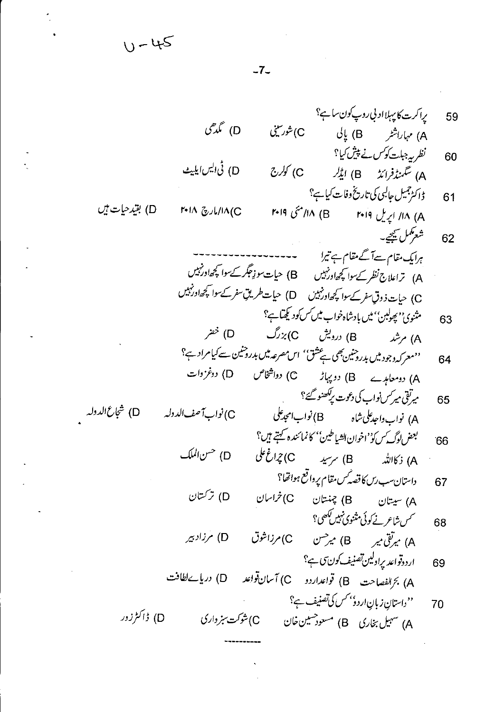$U - 45$ 

 $-7-$ 

براكرت كاپېلااد بې روپ كون ساې؟ 59 D) گې*رگ*ې C) شورسىنى A) مہاراشٹر (B) پالی نظر پہ جبلت کوکس نے پیش کیا؟ 60 D) نی ایس ایلیٹ C) کولرج A) سَمَنزُفراندُ B) ایڈلر ڈاکٹرجمیل جالبی کی تاریخ وفات کیا ہے؟ 61 A) ۱۸/ اپریل ۲۰۱۹ B) ۱۸/ مئی ۲۰۱۹  $141A \gtrsim 111A/C$ شعركمل سيمجي-62 ہرایک مقام سےآ گے مقام ہے تیرا A) تراعلاج نظر کے سوا کچھاورنہیں B) حیات سوزِ جگر کے سوا کچھاورنہیں C) حیات ذوقِ سفر کے سوا کچھاور نہیں (D) حیات طریقِ سفر کے سوا کچھاور نہیں مثنوی'' پھولبن'' میں بادشاہ خواب میں *کس ک*ود کچتا ہے؟ 63  $\mathcal{P}^{\mathcal{S}}\left(\mathsf{D}\right)$ A) مرشد B) درویش C) بزرگ ''معرکہ دجود میں بدرو خین بھی ہے عثق'' اس مصرعہ میں بدروحنین سے کیامراد ہے؟ 64 A) دومعاہدے B) دو پہاڑ C) دواشخاص D) دوغزوات میرتقی میرکس نواب کی دعوت پرکھنو گئے؟ 65 C) نواب آ صف الدوله بعض لوگ س كو''اخوان الشياطين'' كانمائنده كہتے ہيں؟ 66 D) حسن الملك A) ذكالله B) سرسيد C) جراغ على داستان سب رس کا قصہ کس مقام پرواقع ہواتھا؟ 67 D) ترکستان A) سيتان B) چنتان C) خراسان *سس شاعرنے ک*وئی مثنوی *نہیں لکھ*ی؟ 68 A) میرتق میر (B) میر<sup>حس</sup>ن (C) مرزاشوق D) مرزاد بیر اردوتواعد پراولین تصنیف کون سی ج 69 A) بَرَالفصاحت B) قواعداردو C) آسان قواعد D) دریا بےلطافت ''داستان زبانِ اردؤ' کس کی تصنیف ہے؟ 70 D) ڈاکٹرزور C)شوکت سبز واری A) سهیل بخاری B) مسعودهسین خان

D) بقيد حيات بين

D) شجاع الدوله